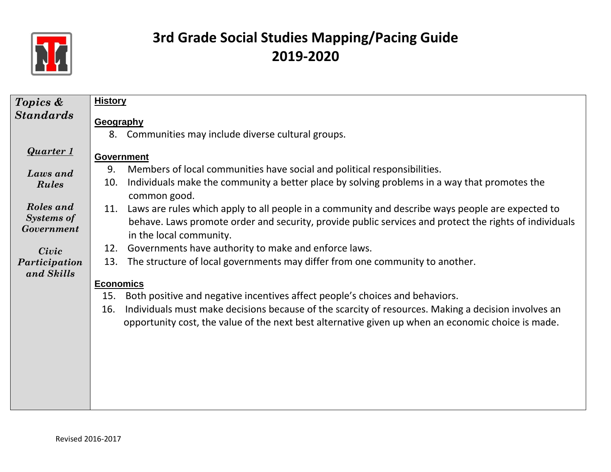

| Topics &                                     | <b>History</b>                                                                                                                                                                                                                               |  |  |  |  |
|----------------------------------------------|----------------------------------------------------------------------------------------------------------------------------------------------------------------------------------------------------------------------------------------------|--|--|--|--|
| <b>Standards</b>                             |                                                                                                                                                                                                                                              |  |  |  |  |
|                                              | Geography                                                                                                                                                                                                                                    |  |  |  |  |
|                                              | Communities may include diverse cultural groups.<br>8.                                                                                                                                                                                       |  |  |  |  |
| <b>Quarter 1</b>                             | <b>Government</b>                                                                                                                                                                                                                            |  |  |  |  |
| Laws and                                     | Members of local communities have social and political responsibilities.<br>9.                                                                                                                                                               |  |  |  |  |
| Rules                                        | Individuals make the community a better place by solving problems in a way that promotes the<br>10.<br>common good.                                                                                                                          |  |  |  |  |
| Roles and<br><b>Systems of</b><br>Government | Laws are rules which apply to all people in a community and describe ways people are expected to<br>11.<br>behave. Laws promote order and security, provide public services and protect the rights of individuals<br>in the local community. |  |  |  |  |
| Civic                                        | Governments have authority to make and enforce laws.<br>12.                                                                                                                                                                                  |  |  |  |  |
| Participation                                | The structure of local governments may differ from one community to another.<br>13.                                                                                                                                                          |  |  |  |  |
| and Skills                                   |                                                                                                                                                                                                                                              |  |  |  |  |
|                                              | <b>Economics</b>                                                                                                                                                                                                                             |  |  |  |  |
|                                              | Both positive and negative incentives affect people's choices and behaviors.<br>15.                                                                                                                                                          |  |  |  |  |
|                                              | Individuals must make decisions because of the scarcity of resources. Making a decision involves an<br>16.<br>opportunity cost, the value of the next best alternative given up when an economic choice is made.                             |  |  |  |  |
|                                              |                                                                                                                                                                                                                                              |  |  |  |  |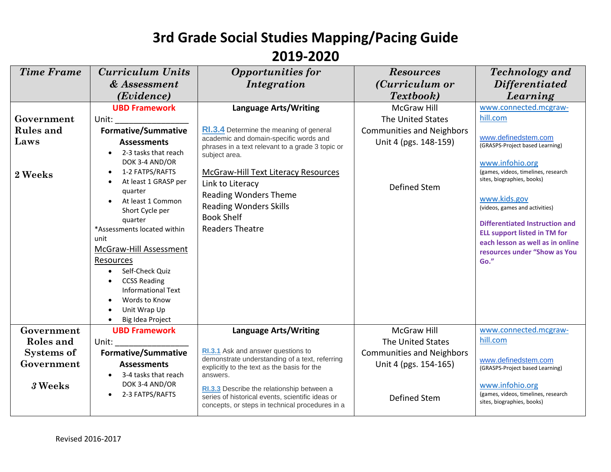| <b>Time Frame</b>               | <b>Curriculum Units</b>                    | <b>Opportunities for</b>                                                                       | <b>Resources</b>                 | <b>Technology</b> and               |
|---------------------------------|--------------------------------------------|------------------------------------------------------------------------------------------------|----------------------------------|-------------------------------------|
|                                 | & Assessment                               | Integration                                                                                    | ( <i>Curriculum or</i>           | <i>Differentiated</i>               |
|                                 | ( <i>Evidence</i> )                        |                                                                                                | Textbook)                        | Learning                            |
|                                 | <b>UBD Framework</b>                       | <b>Language Arts/Writing</b>                                                                   | <b>McGraw Hill</b>               | www.connected.mcgraw-               |
| Government                      | Unit:                                      |                                                                                                | The United States                | hill.com                            |
| <b>Rules</b> and                | <b>Formative/Summative</b>                 | <b>RI.3.4</b> Determine the meaning of general                                                 | <b>Communities and Neighbors</b> |                                     |
| Laws                            | <b>Assessments</b>                         | academic and domain-specific words and                                                         | Unit 4 (pgs. 148-159)            | www.definedstem.com                 |
|                                 | 2-3 tasks that reach                       | phrases in a text relevant to a grade 3 topic or<br>subject area.                              |                                  | (GRASPS-Project based Learning)     |
|                                 | DOK 3-4 AND/OR                             |                                                                                                |                                  | www.infohio.org                     |
| 2 Weeks                         | 1-2 FATPS/RAFTS                            | <b>McGraw-Hill Text Literacy Resources</b>                                                     |                                  | (games, videos, timelines, research |
|                                 | At least 1 GRASP per                       | Link to Literacy                                                                               | <b>Defined Stem</b>              | sites, biographies, books)          |
|                                 | quarter<br>At least 1 Common               | <b>Reading Wonders Theme</b>                                                                   |                                  | www.kids.gov                        |
|                                 | Short Cycle per                            | <b>Reading Wonders Skills</b>                                                                  |                                  | (videos, games and activities)      |
|                                 | quarter                                    | <b>Book Shelf</b>                                                                              |                                  | Differentiated Instruction and      |
|                                 | *Assessments located within                | <b>Readers Theatre</b>                                                                         |                                  | <b>ELL support listed in TM for</b> |
|                                 | unit                                       |                                                                                                |                                  | each lesson as well as in online    |
|                                 | McGraw-Hill Assessment                     |                                                                                                |                                  | resources under "Show as You        |
|                                 | Resources<br>Self-Check Quiz<br>$\bullet$  |                                                                                                |                                  | Go."                                |
|                                 | <b>CCSS Reading</b>                        |                                                                                                |                                  |                                     |
|                                 | <b>Informational Text</b>                  |                                                                                                |                                  |                                     |
|                                 | Words to Know                              |                                                                                                |                                  |                                     |
|                                 | Unit Wrap Up                               |                                                                                                |                                  |                                     |
|                                 | Big Idea Project                           |                                                                                                |                                  |                                     |
| Government                      | <b>UBD Framework</b>                       | <b>Language Arts/Writing</b>                                                                   | <b>McGraw Hill</b>               | www.connected.mcgraw-<br>hill.com   |
| Roles and                       | Unit:                                      | RI.3.1 Ask and answer questions to                                                             | The United States                |                                     |
| <b>Systems of</b><br>Government | <b>Formative/Summative</b>                 | demonstrate understanding of a text, referring                                                 | <b>Communities and Neighbors</b> | www.definedstem.com                 |
|                                 | <b>Assessments</b><br>3-4 tasks that reach | explicitly to the text as the basis for the<br>answers.                                        | Unit 4 (pgs. 154-165)            | (GRASPS-Project based Learning)     |
| 3 Weeks                         | DOK 3-4 AND/OR                             |                                                                                                |                                  | www.infohio.org                     |
|                                 | 2-3 FATPS/RAFTS                            | RI.3.3 Describe the relationship between a<br>series of historical events, scientific ideas or | Defined Stem                     | (games, videos, timelines, research |
|                                 |                                            | concepts, or steps in technical procedures in a                                                |                                  | sites, biographies, books)          |
|                                 |                                            |                                                                                                |                                  |                                     |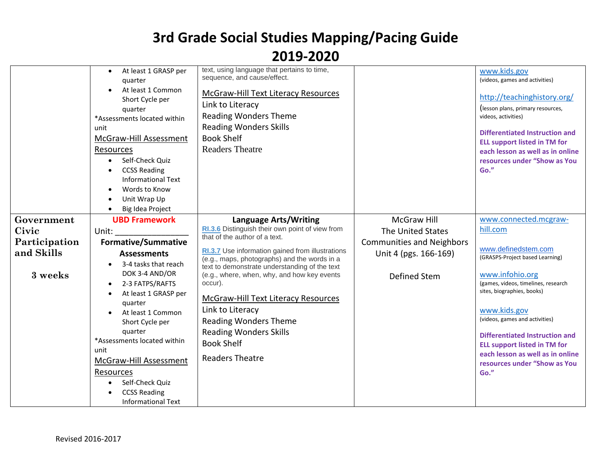|               | At least 1 GRASP per                | text, using language that pertains to time,                                                   |                                  | www.kids.gov                                                                 |
|---------------|-------------------------------------|-----------------------------------------------------------------------------------------------|----------------------------------|------------------------------------------------------------------------------|
|               | quarter                             | sequence, and cause/effect.                                                                   |                                  | (videos, games and activities)                                               |
|               | At least 1 Common                   | <b>McGraw-Hill Text Literacy Resources</b>                                                    |                                  | http://teachinghistory.org/                                                  |
|               | Short Cycle per<br>quarter          | Link to Literacy                                                                              |                                  | (lesson plans, primary resources,                                            |
|               | *Assessments located within         | <b>Reading Wonders Theme</b>                                                                  |                                  | videos, activities)                                                          |
|               | unit                                | <b>Reading Wonders Skills</b>                                                                 |                                  |                                                                              |
|               | McGraw-Hill Assessment              | <b>Book Shelf</b>                                                                             |                                  | <b>Differentiated Instruction and</b><br><b>ELL support listed in TM for</b> |
|               | Resources                           | <b>Readers Theatre</b>                                                                        |                                  | each lesson as well as in online                                             |
|               | Self-Check Quiz<br>$\bullet$        |                                                                                               |                                  | resources under "Show as You                                                 |
|               | <b>CCSS Reading</b>                 |                                                                                               |                                  | Go."                                                                         |
|               | <b>Informational Text</b>           |                                                                                               |                                  |                                                                              |
|               | Words to Know<br>Unit Wrap Up       |                                                                                               |                                  |                                                                              |
|               | Big Idea Project                    |                                                                                               |                                  |                                                                              |
| Government    | <b>UBD Framework</b>                | <b>Language Arts/Writing</b>                                                                  | <b>McGraw Hill</b>               | www.connected.mcgraw-                                                        |
| Civic         | Unit:                               | RI.3.6 Distinguish their own point of view from                                               | The United States                | hill.com                                                                     |
| Participation | <b>Formative/Summative</b>          | that of the author of a text.                                                                 | <b>Communities and Neighbors</b> |                                                                              |
| and Skills    | <b>Assessments</b>                  | RI.3.7 Use information gained from illustrations                                              | Unit 4 (pgs. 166-169)            | www.definedstem.com<br>(GRASPS-Project based Learning)                       |
|               | 3-4 tasks that reach<br>$\bullet$   | (e.g., maps, photographs) and the words in a<br>text to demonstrate understanding of the text |                                  |                                                                              |
| 3 weeks       | DOK 3-4 AND/OR                      | (e.g., where, when, why, and how key events                                                   | Defined Stem                     | www.infohio.org                                                              |
|               | 2-3 FATPS/RAFTS<br>$\bullet$        | occur).                                                                                       |                                  | (games, videos, timelines, research<br>sites, biographies, books)            |
|               | At least 1 GRASP per<br>quarter     | <b>McGraw-Hill Text Literacy Resources</b>                                                    |                                  |                                                                              |
|               | At least 1 Common                   | Link to Literacy                                                                              |                                  | www.kids.gov                                                                 |
|               | Short Cycle per                     | <b>Reading Wonders Theme</b>                                                                  |                                  | (videos, games and activities)                                               |
|               | quarter                             | <b>Reading Wonders Skills</b>                                                                 |                                  | Differentiated Instruction and                                               |
|               | *Assessments located within<br>unit | <b>Book Shelf</b>                                                                             |                                  | <b>ELL support listed in TM for</b>                                          |
|               | McGraw-Hill Assessment              | <b>Readers Theatre</b>                                                                        |                                  | each lesson as well as in online                                             |
|               | Resources                           |                                                                                               |                                  | resources under "Show as You<br>Go."                                         |
|               | Self-Check Quiz                     |                                                                                               |                                  |                                                                              |
|               | <b>CCSS Reading</b>                 |                                                                                               |                                  |                                                                              |
|               | <b>Informational Text</b>           |                                                                                               |                                  |                                                                              |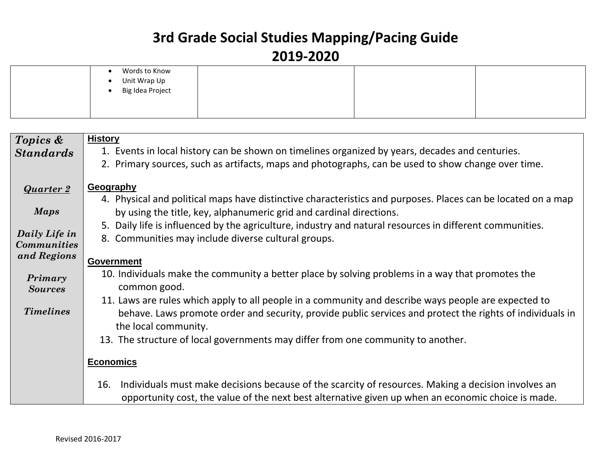| Words to Know<br>Unit Wrap Up<br>Big Idea Project<br>$\overline{\phantom{a}}$ |  |  |  |
|-------------------------------------------------------------------------------|--|--|--|
|-------------------------------------------------------------------------------|--|--|--|

| Topics &                          | <b>History</b>                                                                                               |
|-----------------------------------|--------------------------------------------------------------------------------------------------------------|
| <b>Standards</b>                  | 1. Events in local history can be shown on timelines organized by years, decades and centuries.              |
|                                   | 2. Primary sources, such as artifacts, maps and photographs, can be used to show change over time.           |
|                                   |                                                                                                              |
| <b>Quarter 2</b>                  | Geography                                                                                                    |
|                                   | 4. Physical and political maps have distinctive characteristics and purposes. Places can be located on a map |
| <b>Maps</b>                       | by using the title, key, alphanumeric grid and cardinal directions.                                          |
|                                   | Daily life is influenced by the agriculture, industry and natural resources in different communities.<br>5.  |
| Daily Life in                     | 8. Communities may include diverse cultural groups.                                                          |
| <b>Communities</b><br>and Regions |                                                                                                              |
|                                   | <b>Government</b>                                                                                            |
| Primary                           | 10. Individuals make the community a better place by solving problems in a way that promotes the             |
| <b>Sources</b>                    | common good.                                                                                                 |
|                                   | 11. Laws are rules which apply to all people in a community and describe ways people are expected to         |
| <b>Timelines</b>                  | behave. Laws promote order and security, provide public services and protect the rights of individuals in    |
|                                   | the local community.                                                                                         |
|                                   | 13. The structure of local governments may differ from one community to another.                             |
|                                   |                                                                                                              |
|                                   | <b>Economics</b>                                                                                             |
|                                   |                                                                                                              |
|                                   | Individuals must make decisions because of the scarcity of resources. Making a decision involves an<br>16.   |
|                                   | opportunity cost, the value of the next best alternative given up when an economic choice is made.           |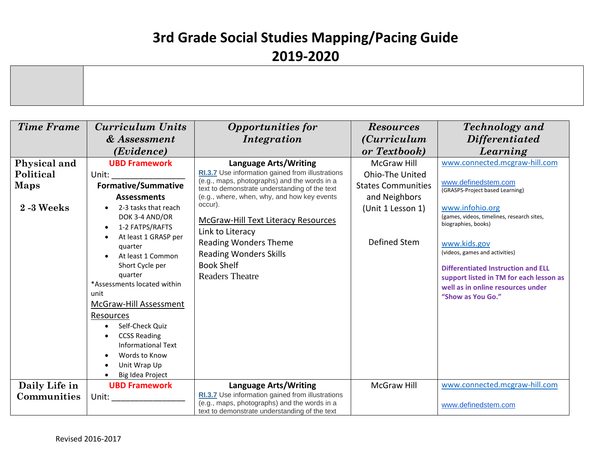| <b>Time Frame</b> | <b>Curriculum Units</b>          | <b>Opportunities for</b>                                                                      | <b>Resources</b>          | <b>Technology</b> and                                             |
|-------------------|----------------------------------|-----------------------------------------------------------------------------------------------|---------------------------|-------------------------------------------------------------------|
|                   | & Assessment                     | Integration                                                                                   | <i>(Curriculum</i> )      | <i>Differentiated</i>                                             |
|                   | (Evidence)                       |                                                                                               | or Textbook)              | Learning                                                          |
| Physical and      | <b>UBD Framework</b>             | <b>Language Arts/Writing</b>                                                                  | <b>McGraw Hill</b>        | www.connected.mcgraw-hill.com                                     |
| Political         | Unit:                            | RI.3.7 Use information gained from illustrations                                              | Ohio-The United           |                                                                   |
| <b>Maps</b>       | <b>Formative/Summative</b>       | (e.g., maps, photographs) and the words in a<br>text to demonstrate understanding of the text | <b>States Communities</b> | www.definedstem.com<br>(GRASPS-Project based Learning)            |
|                   | <b>Assessments</b>               | (e.g., where, when, why, and how key events                                                   | and Neighbors             |                                                                   |
| <b>2-3 Weeks</b>  | 2-3 tasks that reach             | occur).                                                                                       | (Unit 1 Lesson 1)         | www.infohio.org                                                   |
|                   | DOK 3-4 AND/OR                   | <b>McGraw-Hill Text Literacy Resources</b>                                                    |                           | (games, videos, timelines, research sites,<br>biographies, books) |
|                   | 1-2 FATPS/RAFTS                  | Link to Literacy                                                                              |                           |                                                                   |
|                   | At least 1 GRASP per<br>quarter  | <b>Reading Wonders Theme</b>                                                                  | Defined Stem              | www.kids.gov                                                      |
|                   | At least 1 Common                | <b>Reading Wonders Skills</b>                                                                 |                           | (videos, games and activities)                                    |
|                   | Short Cycle per                  | <b>Book Shelf</b>                                                                             |                           | <b>Differentiated Instruction and ELL</b>                         |
|                   | quarter                          | <b>Readers Theatre</b>                                                                        |                           | support listed in TM for each lesson as                           |
|                   | *Assessments located within      |                                                                                               |                           | well as in online resources under                                 |
|                   | unit                             |                                                                                               |                           | "Show as You Go."                                                 |
|                   | <b>McGraw-Hill Assessment</b>    |                                                                                               |                           |                                                                   |
|                   | Resources                        |                                                                                               |                           |                                                                   |
|                   | Self-Check Quiz                  |                                                                                               |                           |                                                                   |
|                   | <b>CCSS Reading</b>              |                                                                                               |                           |                                                                   |
|                   | <b>Informational Text</b>        |                                                                                               |                           |                                                                   |
|                   | Words to Know                    |                                                                                               |                           |                                                                   |
|                   | Unit Wrap Up<br>Big Idea Project |                                                                                               |                           |                                                                   |
| Daily Life in     | <b>UBD Framework</b>             | <b>Language Arts/Writing</b>                                                                  | <b>McGraw Hill</b>        | www.connected.mcgraw-hill.com                                     |
| Communities       | Unit:                            | RI.3.7 Use information gained from illustrations                                              |                           |                                                                   |
|                   |                                  | (e.g., maps, photographs) and the words in a                                                  |                           | www.definedstem.com                                               |
|                   |                                  | text to demonstrate understanding of the text                                                 |                           |                                                                   |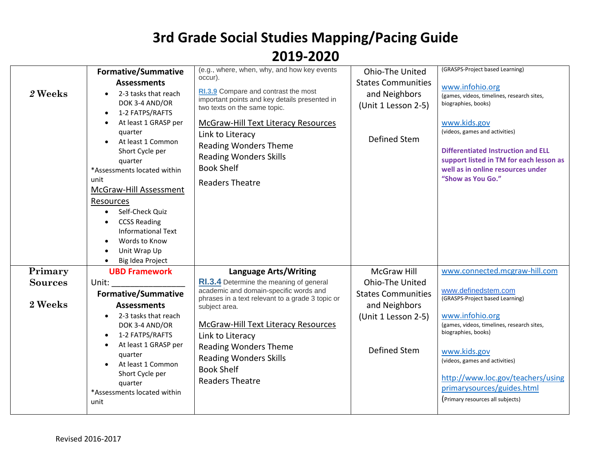|                           | <b>Formative/Summative</b>                                                                                                                                                                                                                                                                                                                                  | (e.g., where, when, why, and how key events<br>occur).                                                                                                                                                                                                                                                                            | Ohio-The United                                                                                      | (GRASPS-Project based Learning)                                                                                                                                                                                                                                                                         |
|---------------------------|-------------------------------------------------------------------------------------------------------------------------------------------------------------------------------------------------------------------------------------------------------------------------------------------------------------------------------------------------------------|-----------------------------------------------------------------------------------------------------------------------------------------------------------------------------------------------------------------------------------------------------------------------------------------------------------------------------------|------------------------------------------------------------------------------------------------------|---------------------------------------------------------------------------------------------------------------------------------------------------------------------------------------------------------------------------------------------------------------------------------------------------------|
| 2 Weeks                   | <b>Assessments</b><br>2-3 tasks that reach<br>DOK 3-4 AND/OR<br>1-2 FATPS/RAFTS<br>At least 1 GRASP per<br>quarter<br>At least 1 Common<br>Short Cycle per<br>quarter<br>*Assessments located within<br>unit<br>McGraw-Hill Assessment<br>Resources<br>Self-Check Quiz<br><b>CCSS Reading</b><br><b>Informational Text</b><br>Words to Know<br>Unit Wrap Up | RI.3.9 Compare and contrast the most<br>important points and key details presented in<br>two texts on the same topic.<br><b>McGraw-Hill Text Literacy Resources</b><br>Link to Literacy<br><b>Reading Wonders Theme</b><br><b>Reading Wonders Skills</b><br><b>Book Shelf</b><br><b>Readers Theatre</b>                           | <b>States Communities</b><br>and Neighbors<br>(Unit 1 Lesson 2-5)<br>Defined Stem                    | www.infohio.org<br>(games, videos, timelines, research sites,<br>biographies, books)<br>www.kids.gov<br>(videos, games and activities)<br><b>Differentiated Instruction and ELL</b><br>support listed in TM for each lesson as<br>well as in online resources under<br>"Show as You Go."                |
|                           | Big Idea Project                                                                                                                                                                                                                                                                                                                                            |                                                                                                                                                                                                                                                                                                                                   |                                                                                                      |                                                                                                                                                                                                                                                                                                         |
| Primary                   | <b>UBD Framework</b>                                                                                                                                                                                                                                                                                                                                        | <b>Language Arts/Writing</b>                                                                                                                                                                                                                                                                                                      | <b>McGraw Hill</b>                                                                                   | www.connected.mcgraw-hill.com                                                                                                                                                                                                                                                                           |
| <b>Sources</b><br>2 Weeks | Unit:<br><b>Formative/Summative</b><br><b>Assessments</b><br>2-3 tasks that reach<br>DOK 3-4 AND/OR<br>1-2 FATPS/RAFTS<br>At least 1 GRASP per<br>quarter<br>At least 1 Common<br>Short Cycle per<br>quarter<br>*Assessments located within<br>unit                                                                                                         | RI.3.4 Determine the meaning of general<br>academic and domain-specific words and<br>phrases in a text relevant to a grade 3 topic or<br>subject area.<br>McGraw-Hill Text Literacy Resources<br>Link to Literacy<br><b>Reading Wonders Theme</b><br><b>Reading Wonders Skills</b><br><b>Book Shelf</b><br><b>Readers Theatre</b> | Ohio-The United<br><b>States Communities</b><br>and Neighbors<br>(Unit 1 Lesson 2-5)<br>Defined Stem | www.definedstem.com<br>(GRASPS-Project based Learning)<br>www.infohio.org<br>(games, videos, timelines, research sites,<br>biographies, books)<br>www.kids.gov<br>(videos, games and activities)<br>http://www.loc.gov/teachers/using<br>primarysources/guides.html<br>(Primary resources all subjects) |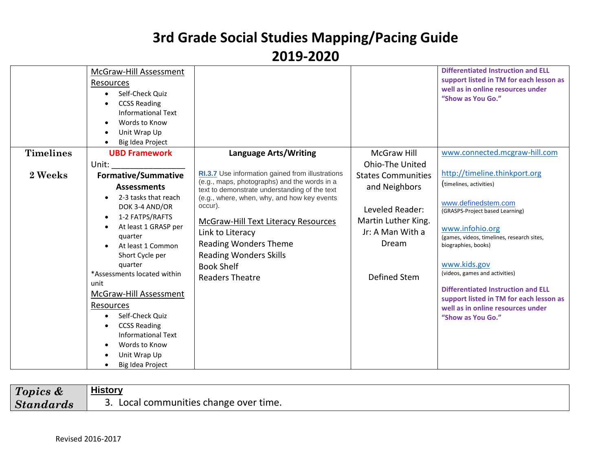|                  | McGraw-Hill Assessment<br>Resources<br>Self-Check Quiz<br>$\bullet$<br><b>CCSS Reading</b><br>Informational Text<br>Words to Know<br>Unit Wrap Up<br>Big Idea Project                                                                                                                                                                              |                                                                                                                                                                                                                                          |                                                                                     | <b>Differentiated Instruction and ELL</b><br>support listed in TM for each lesson as<br>well as in online resources under<br>"Show as You Go."                                                                                                                                                                                                     |
|------------------|----------------------------------------------------------------------------------------------------------------------------------------------------------------------------------------------------------------------------------------------------------------------------------------------------------------------------------------------------|------------------------------------------------------------------------------------------------------------------------------------------------------------------------------------------------------------------------------------------|-------------------------------------------------------------------------------------|----------------------------------------------------------------------------------------------------------------------------------------------------------------------------------------------------------------------------------------------------------------------------------------------------------------------------------------------------|
| <b>Timelines</b> | <b>UBD Framework</b>                                                                                                                                                                                                                                                                                                                               | <b>Language Arts/Writing</b>                                                                                                                                                                                                             | <b>McGraw Hill</b>                                                                  | www.connected.mcgraw-hill.com                                                                                                                                                                                                                                                                                                                      |
|                  | Unit:                                                                                                                                                                                                                                                                                                                                              |                                                                                                                                                                                                                                          | <b>Ohio-The United</b>                                                              |                                                                                                                                                                                                                                                                                                                                                    |
| 2 Weeks          | <b>Formative/Summative</b>                                                                                                                                                                                                                                                                                                                         | RI.3.7 Use information gained from illustrations                                                                                                                                                                                         | <b>States Communities</b>                                                           | http://timeline.thinkport.org                                                                                                                                                                                                                                                                                                                      |
|                  | <b>Assessments</b>                                                                                                                                                                                                                                                                                                                                 | (e.g., maps, photographs) and the words in a<br>text to demonstrate understanding of the text                                                                                                                                            | and Neighbors                                                                       | (timelines, activities)                                                                                                                                                                                                                                                                                                                            |
|                  | 2-3 tasks that reach<br>DOK 3-4 AND/OR<br>1-2 FATPS/RAFTS<br>At least 1 GRASP per<br>quarter<br>At least 1 Common<br>Short Cycle per<br>quarter<br>*Assessments located within<br>unit<br>McGraw-Hill Assessment<br>Resources<br>Self-Check Quiz<br><b>CCSS Reading</b><br>Informational Text<br>Words to Know<br>Unit Wrap Up<br>Big Idea Project | (e.g., where, when, why, and how key events<br>occur).<br><b>McGraw-Hill Text Literacy Resources</b><br>Link to Literacy<br><b>Reading Wonders Theme</b><br><b>Reading Wonders Skills</b><br><b>Book Shelf</b><br><b>Readers Theatre</b> | Leveled Reader:<br>Martin Luther King.<br>Jr: A Man With a<br>Dream<br>Defined Stem | www.definedstem.com<br>(GRASPS-Project based Learning)<br>www.infohio.org<br>(games, videos, timelines, research sites,<br>biographies, books)<br>www.kids.gov<br>(videos, games and activities)<br><b>Differentiated Instruction and ELL</b><br>support listed in TM for each lesson as<br>well as in online resources under<br>"Show as You Go." |

| Topics &         | History                                         |
|------------------|-------------------------------------------------|
| <b>Standards</b> | Local communities change over time.<br><u>.</u> |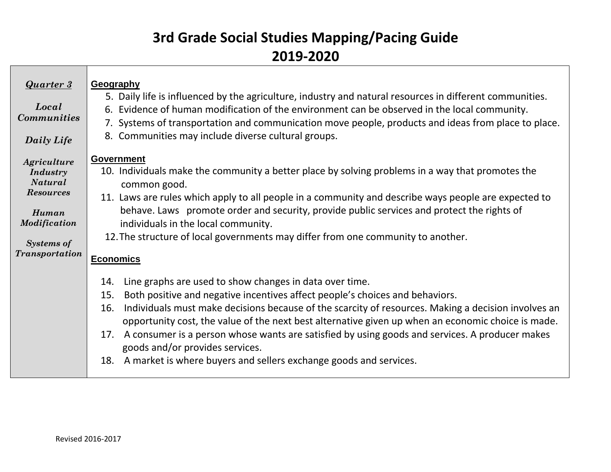| <b>Quarter 3</b><br>Local<br><b>Communities</b><br>Daily Life                                                                               | Geography<br>5. Daily life is influenced by the agriculture, industry and natural resources in different communities.<br>6. Evidence of human modification of the environment can be observed in the local community.<br>7. Systems of transportation and communication move people, products and ideas from place to place.<br>8. Communities may include diverse cultural groups.                                                                                                                                                                                                               |
|---------------------------------------------------------------------------------------------------------------------------------------------|---------------------------------------------------------------------------------------------------------------------------------------------------------------------------------------------------------------------------------------------------------------------------------------------------------------------------------------------------------------------------------------------------------------------------------------------------------------------------------------------------------------------------------------------------------------------------------------------------|
| Agriculture<br><b>Industry</b><br><b>Natural</b><br><b>Resources</b><br>Human<br>Modification<br><b>Systems of</b><br><b>Transportation</b> | <b>Government</b><br>10. Individuals make the community a better place by solving problems in a way that promotes the<br>common good.<br>11. Laws are rules which apply to all people in a community and describe ways people are expected to<br>behave. Laws promote order and security, provide public services and protect the rights of<br>individuals in the local community.<br>12. The structure of local governments may differ from one community to another.<br><b>Economics</b>                                                                                                        |
|                                                                                                                                             | Line graphs are used to show changes in data over time.<br>14.<br>Both positive and negative incentives affect people's choices and behaviors.<br>15.<br>Individuals must make decisions because of the scarcity of resources. Making a decision involves an<br>16.<br>opportunity cost, the value of the next best alternative given up when an economic choice is made.<br>A consumer is a person whose wants are satisfied by using goods and services. A producer makes<br>17.<br>goods and/or provides services.<br>A market is where buyers and sellers exchange goods and services.<br>18. |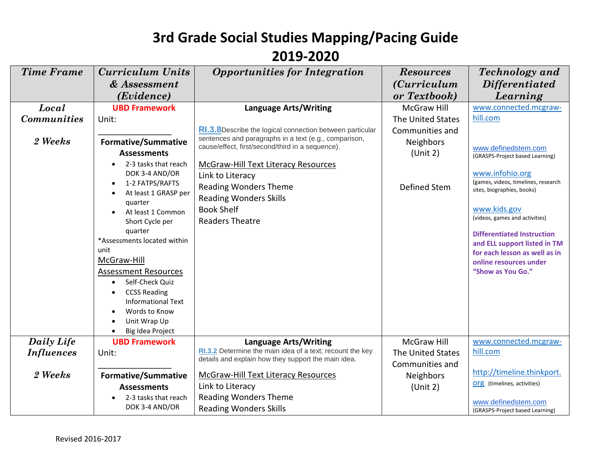| <b>Time Frame</b>  | <b>Curriculum Units</b>                             | <b>Opportunities for Integration</b>                                                                             | <b>Resources</b>     | <b>Technology</b> and                                             |
|--------------------|-----------------------------------------------------|------------------------------------------------------------------------------------------------------------------|----------------------|-------------------------------------------------------------------|
|                    | & Assessment                                        |                                                                                                                  | <i>(Curriculum</i> ) | <i>Differentiated</i>                                             |
|                    | (Evidence)                                          |                                                                                                                  | or Textbook)         | Learning                                                          |
| Local              | <b>UBD Framework</b>                                | <b>Language Arts/Writing</b>                                                                                     | <b>McGraw Hill</b>   | www.connected.mcgraw-                                             |
| <b>Communities</b> | Unit:                                               |                                                                                                                  | The United States    | hill.com                                                          |
|                    |                                                     | RI.3.8Describe the logical connection between particular                                                         | Communities and      |                                                                   |
| 2 Weeks            | <b>Formative/Summative</b>                          | sentences and paragraphs in a text (e.g., comparison,<br>cause/effect, first/second/third in a sequence).        | Neighbors            |                                                                   |
|                    | <b>Assessments</b>                                  |                                                                                                                  | (Unit 2)             | www.definedstem.com<br>(GRASPS-Project based Learning)            |
|                    | 2-3 tasks that reach                                | McGraw-Hill Text Literacy Resources                                                                              |                      |                                                                   |
|                    | DOK 3-4 AND/OR                                      | Link to Literacy                                                                                                 |                      | www.infohio.org                                                   |
|                    | 1-2 FATPS/RAFTS                                     | <b>Reading Wonders Theme</b>                                                                                     | <b>Defined Stem</b>  | (games, videos, timelines, research<br>sites, biographies, books) |
|                    | At least 1 GRASP per<br>quarter                     | <b>Reading Wonders Skills</b>                                                                                    |                      |                                                                   |
|                    | At least 1 Common                                   | <b>Book Shelf</b>                                                                                                |                      | www.kids.gov                                                      |
|                    | Short Cycle per                                     | <b>Readers Theatre</b>                                                                                           |                      | (videos, games and activities)                                    |
|                    | quarter                                             |                                                                                                                  |                      | <b>Differentiated Instruction</b>                                 |
|                    | *Assessments located within                         |                                                                                                                  |                      | and ELL support listed in TM                                      |
|                    | unit                                                |                                                                                                                  |                      | for each lesson as well as in                                     |
|                    | McGraw-Hill                                         |                                                                                                                  |                      | online resources under                                            |
|                    | <b>Assessment Resources</b>                         |                                                                                                                  |                      | "Show as You Go."                                                 |
|                    | Self-Check Quiz<br>$\bullet$<br><b>CCSS Reading</b> |                                                                                                                  |                      |                                                                   |
|                    | <b>Informational Text</b>                           |                                                                                                                  |                      |                                                                   |
|                    | Words to Know                                       |                                                                                                                  |                      |                                                                   |
|                    | Unit Wrap Up                                        |                                                                                                                  |                      |                                                                   |
|                    | Big Idea Project                                    |                                                                                                                  |                      |                                                                   |
| Daily Life         | <b>UBD Framework</b>                                | Language Arts/Writing                                                                                            | McGraw Hill          | www.connected.mcgraw-                                             |
| <b>Influences</b>  | Unit:                                               | RI.3.2 Determine the main idea of a text; recount the key<br>details and explain how they support the main idea. | The United States    | hill.com                                                          |
|                    |                                                     |                                                                                                                  | Communities and      |                                                                   |
| 2 Weeks            | <b>Formative/Summative</b>                          | <b>McGraw-Hill Text Literacy Resources</b>                                                                       | <b>Neighbors</b>     | http://timeline.thinkport.                                        |
|                    | <b>Assessments</b>                                  | Link to Literacy                                                                                                 | (Unit 2)             | <b>org</b> (timelines, activities)                                |
|                    | 2-3 tasks that reach                                | <b>Reading Wonders Theme</b>                                                                                     |                      | www.definedstem.com                                               |
|                    | DOK 3-4 AND/OR                                      | <b>Reading Wonders Skills</b>                                                                                    |                      | (GRASPS-Project based Learning)                                   |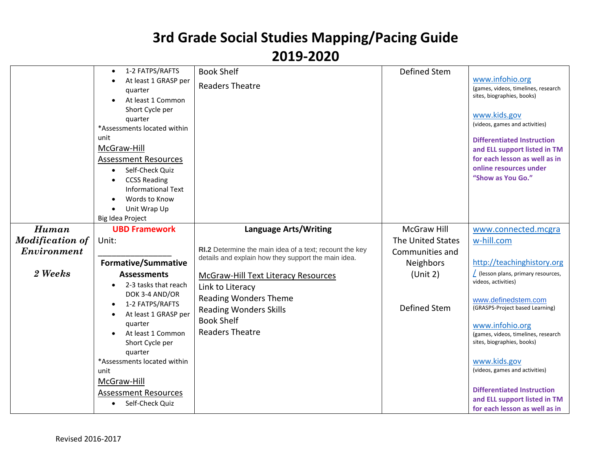|                        | 1-2 FATPS/RAFTS<br>$\bullet$<br>At least 1 GRASP per | <b>Book Shelf</b>                                       | <b>Defined Stem</b> | www.infohio.org                                                   |
|------------------------|------------------------------------------------------|---------------------------------------------------------|---------------------|-------------------------------------------------------------------|
|                        | quarter                                              | <b>Readers Theatre</b>                                  |                     | (games, videos, timelines, research                               |
|                        | At least 1 Common                                    |                                                         |                     | sites, biographies, books)                                        |
|                        | Short Cycle per                                      |                                                         |                     | www.kids.gov                                                      |
|                        | quarter                                              |                                                         |                     | (videos, games and activities)                                    |
|                        | *Assessments located within                          |                                                         |                     |                                                                   |
|                        | unit                                                 |                                                         |                     | <b>Differentiated Instruction</b>                                 |
|                        | McGraw-Hill                                          |                                                         |                     | and ELL support listed in TM                                      |
|                        | <b>Assessment Resources</b>                          |                                                         |                     | for each lesson as well as in<br>online resources under           |
|                        | Self-Check Quiz                                      |                                                         |                     | "Show as You Go."                                                 |
|                        | <b>CCSS Reading</b><br><b>Informational Text</b>     |                                                         |                     |                                                                   |
|                        | Words to Know                                        |                                                         |                     |                                                                   |
|                        | Unit Wrap Up                                         |                                                         |                     |                                                                   |
|                        | Big Idea Project                                     |                                                         |                     |                                                                   |
| Human                  | <b>UBD Framework</b>                                 | <b>Language Arts/Writing</b>                            | <b>McGraw Hill</b>  | www.connected.mcgra                                               |
| <b>Modification of</b> | Unit:                                                |                                                         | The United States   | w-hill.com                                                        |
| Environment            |                                                      | RI.2 Determine the main idea of a text; recount the key | Communities and     |                                                                   |
|                        | <b>Formative/Summative</b>                           | details and explain how they support the main idea.     | <b>Neighbors</b>    | http://teachinghistory.org                                        |
| 2 Weeks                | <b>Assessments</b>                                   | <b>McGraw-Hill Text Literacy Resources</b>              | (Unit 2)            | (lesson plans, primary resources,                                 |
|                        | 2-3 tasks that reach                                 | Link to Literacy                                        |                     | videos, activities)                                               |
|                        | DOK 3-4 AND/OR                                       | <b>Reading Wonders Theme</b>                            |                     | www.definedstem.com                                               |
|                        | 1-2 FATPS/RAFTS                                      | <b>Reading Wonders Skills</b>                           | <b>Defined Stem</b> | (GRASPS-Project based Learning)                                   |
|                        | At least 1 GRASP per                                 | <b>Book Shelf</b>                                       |                     |                                                                   |
|                        | quarter<br>At least 1 Common                         | <b>Readers Theatre</b>                                  |                     | www.infohio.org                                                   |
|                        | Short Cycle per                                      |                                                         |                     | (games, videos, timelines, research<br>sites, biographies, books) |
|                        | quarter                                              |                                                         |                     |                                                                   |
|                        | *Assessments located within                          |                                                         |                     | www.kids.gov                                                      |
|                        | unit                                                 |                                                         |                     | (videos, games and activities)                                    |
|                        | McGraw-Hill                                          |                                                         |                     |                                                                   |
|                        | <b>Assessment Resources</b>                          |                                                         |                     | <b>Differentiated Instruction</b>                                 |
|                        | Self-Check Quiz<br>$\bullet$                         |                                                         |                     | and ELL support listed in TM                                      |
|                        |                                                      |                                                         |                     | for each lesson as well as in                                     |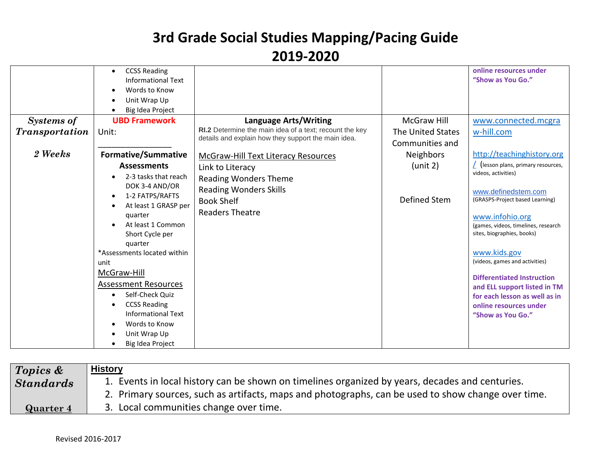|                       | <b>CCSS Reading</b><br><b>Informational Text</b><br>Words to Know<br>Unit Wrap Up<br>Big Idea Project                                                   |                                                                                                                |                                      | online resources under<br>"Show as You Go."                                                                                                       |
|-----------------------|---------------------------------------------------------------------------------------------------------------------------------------------------------|----------------------------------------------------------------------------------------------------------------|--------------------------------------|---------------------------------------------------------------------------------------------------------------------------------------------------|
| <b>Systems of</b>     | <b>UBD Framework</b>                                                                                                                                    | <b>Language Arts/Writing</b>                                                                                   | <b>McGraw Hill</b>                   | www.connected.mcgra                                                                                                                               |
| <b>Transportation</b> | Unit:                                                                                                                                                   | RI.2 Determine the main idea of a text; recount the key<br>details and explain how they support the main idea. | The United States<br>Communities and | w-hill.com                                                                                                                                        |
| 2 Weeks               | <b>Formative/Summative</b>                                                                                                                              | <b>McGraw-Hill Text Literacy Resources</b>                                                                     | Neighbors                            | http://teachinghistory.org                                                                                                                        |
|                       | <b>Assessments</b><br>2-3 tasks that reach<br>DOK 3-4 AND/OR                                                                                            | Link to Literacy<br><b>Reading Wonders Theme</b><br><b>Reading Wonders Skills</b>                              | (unit 2)                             | (lesson plans, primary resources,<br>videos, activities)<br>www.definedstem.com                                                                   |
|                       | 1-2 FATPS/RAFTS<br>At least 1 GRASP per<br>quarter<br>At least 1 Common<br>Short Cycle per                                                              | <b>Book Shelf</b><br><b>Readers Theatre</b>                                                                    | Defined Stem                         | (GRASPS-Project based Learning)<br>www.infohio.org<br>(games, videos, timelines, research<br>sites, biographies, books)                           |
|                       | quarter<br>*Assessments located within<br>unit<br>McGraw-Hill                                                                                           |                                                                                                                |                                      | www.kids.gov<br>(videos, games and activities)                                                                                                    |
|                       | <b>Assessment Resources</b><br>Self-Check Quiz<br><b>CCSS Reading</b><br><b>Informational Text</b><br>Words to Know<br>Unit Wrap Up<br>Big Idea Project |                                                                                                                |                                      | <b>Differentiated Instruction</b><br>and ELL support listed in TM<br>for each lesson as well as in<br>online resources under<br>"Show as You Go." |

| $\sqrt{2}$ Topics & | <b>History</b>                                                                                     |
|---------------------|----------------------------------------------------------------------------------------------------|
| <b>Standards</b>    | 1. Events in local history can be shown on timelines organized by years, decades and centuries.    |
|                     | 2. Primary sources, such as artifacts, maps and photographs, can be used to show change over time. |
| Quarter 4           | 3. Local communities change over time.                                                             |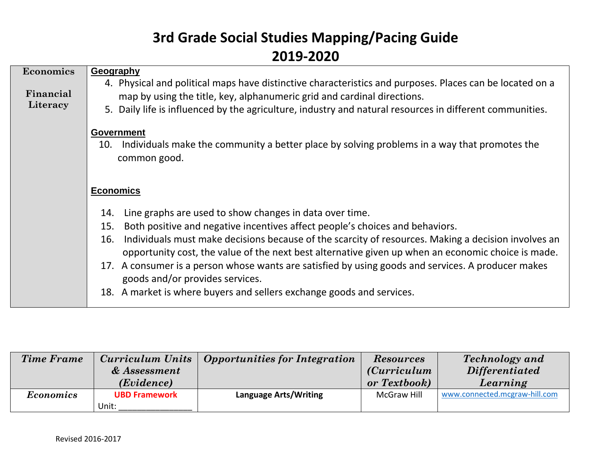| Economics<br>Financial<br>Literacy | Geography<br>4. Physical and political maps have distinctive characteristics and purposes. Places can be located on a<br>map by using the title, key, alphanumeric grid and cardinal directions.<br>5. Daily life is influenced by the agriculture, industry and natural resources in different communities.                                                                                                                                                                                                                                                                                |
|------------------------------------|---------------------------------------------------------------------------------------------------------------------------------------------------------------------------------------------------------------------------------------------------------------------------------------------------------------------------------------------------------------------------------------------------------------------------------------------------------------------------------------------------------------------------------------------------------------------------------------------|
|                                    | <b>Government</b><br>Individuals make the community a better place by solving problems in a way that promotes the<br>10.<br>common good.                                                                                                                                                                                                                                                                                                                                                                                                                                                    |
|                                    | <b>Economics</b>                                                                                                                                                                                                                                                                                                                                                                                                                                                                                                                                                                            |
|                                    | Line graphs are used to show changes in data over time.<br>14.<br>Both positive and negative incentives affect people's choices and behaviors.<br>15.<br>Individuals must make decisions because of the scarcity of resources. Making a decision involves an<br>16.<br>opportunity cost, the value of the next best alternative given up when an economic choice is made.<br>17. A consumer is a person whose wants are satisfied by using goods and services. A producer makes<br>goods and/or provides services.<br>18. A market is where buyers and sellers exchange goods and services. |

| <b>Time Frame</b> |                      | Curriculum Units   Opportunities for Integration | <b>Resources</b>     | <b>Technology</b> and         |
|-------------------|----------------------|--------------------------------------------------|----------------------|-------------------------------|
|                   | & Assessment         |                                                  | <i>(Curriculum</i> ) | <i>Differentiated</i>         |
|                   | ( <i>Evidence</i> )  |                                                  | or Textbook)         | Learning                      |
| <b>Economics</b>  | <b>UBD Framework</b> | <b>Language Arts/Writing</b>                     | McGraw Hill          | www.connected.mcgraw-hill.com |
|                   | Unit:                |                                                  |                      |                               |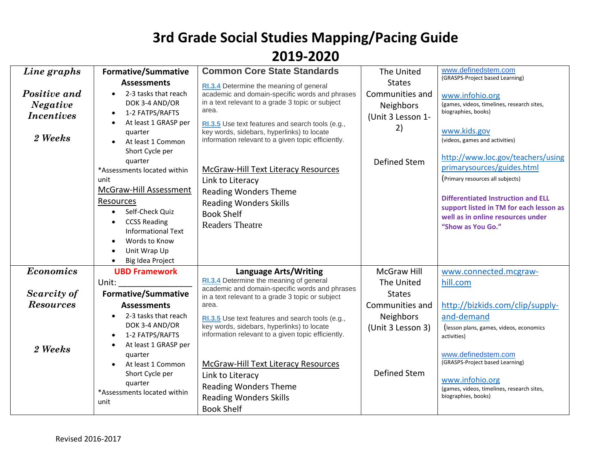| Line graphs                                                     | <b>Formative/Summative</b>                                                                                                                                                                                                                                                                                                                                                                                   | <b>Common Core State Standards</b>                                                                                                                                                                                                                                                                                                                                                                                                                                                               | The United                                                                               | www.definedstem.com                                                                                                                                                                                                                                                                                                                                                                                                                |
|-----------------------------------------------------------------|--------------------------------------------------------------------------------------------------------------------------------------------------------------------------------------------------------------------------------------------------------------------------------------------------------------------------------------------------------------------------------------------------------------|--------------------------------------------------------------------------------------------------------------------------------------------------------------------------------------------------------------------------------------------------------------------------------------------------------------------------------------------------------------------------------------------------------------------------------------------------------------------------------------------------|------------------------------------------------------------------------------------------|------------------------------------------------------------------------------------------------------------------------------------------------------------------------------------------------------------------------------------------------------------------------------------------------------------------------------------------------------------------------------------------------------------------------------------|
| Positive and<br><b>Negative</b><br><i>Incentives</i><br>2 Weeks | <b>Assessments</b><br>2-3 tasks that reach<br>$\bullet$<br>DOK 3-4 AND/OR<br>1-2 FATPS/RAFTS<br>$\bullet$<br>At least 1 GRASP per<br>$\bullet$<br>quarter<br>At least 1 Common<br>Short Cycle per<br>quarter<br>*Assessments located within<br>unit<br>McGraw-Hill Assessment<br>Resources<br>Self-Check Quiz<br>$\bullet$<br><b>CCSS Reading</b><br>$\bullet$<br><b>Informational Text</b><br>Words to Know | RI.3.4 Determine the meaning of general<br>academic and domain-specific words and phrases<br>in a text relevant to a grade 3 topic or subject<br>area.<br>RI.3.5 Use text features and search tools (e.g.,<br>key words, sidebars, hyperlinks) to locate<br>information relevant to a given topic efficiently.<br><b>McGraw-Hill Text Literacy Resources</b><br>Link to Literacy<br><b>Reading Wonders Theme</b><br><b>Reading Wonders Skills</b><br><b>Book Shelf</b><br><b>Readers Theatre</b> | <b>States</b><br>Communities and<br>Neighbors<br>(Unit 3 Lesson 1-<br>2)<br>Defined Stem | (GRASPS-Project based Learning)<br>www.infohio.org<br>(games, videos, timelines, research sites,<br>biographies, books)<br>www.kids.gov<br>(videos, games and activities)<br>http://www.loc.gov/teachers/using<br>primarysources/guides.html<br>(Primary resources all subjects)<br><b>Differentiated Instruction and ELL</b><br>support listed in TM for each lesson as<br>well as in online resources under<br>"Show as You Go." |
|                                                                 | Unit Wrap Up<br>Big Idea Project                                                                                                                                                                                                                                                                                                                                                                             |                                                                                                                                                                                                                                                                                                                                                                                                                                                                                                  |                                                                                          |                                                                                                                                                                                                                                                                                                                                                                                                                                    |
| <b>Economics</b>                                                | <b>UBD Framework</b>                                                                                                                                                                                                                                                                                                                                                                                         | <b>Language Arts/Writing</b>                                                                                                                                                                                                                                                                                                                                                                                                                                                                     | <b>McGraw Hill</b>                                                                       | www.connected.mcgraw-                                                                                                                                                                                                                                                                                                                                                                                                              |
| Scarcity of                                                     | Unit:<br><b>Formative/Summative</b>                                                                                                                                                                                                                                                                                                                                                                          | RI.3.4 Determine the meaning of general<br>academic and domain-specific words and phrases                                                                                                                                                                                                                                                                                                                                                                                                        | The United<br><b>States</b>                                                              | hill.com                                                                                                                                                                                                                                                                                                                                                                                                                           |
| <b>Resources</b>                                                | <b>Assessments</b>                                                                                                                                                                                                                                                                                                                                                                                           | in a text relevant to a grade 3 topic or subject<br>area.                                                                                                                                                                                                                                                                                                                                                                                                                                        | Communities and                                                                          | http://bizkids.com/clip/supply-                                                                                                                                                                                                                                                                                                                                                                                                    |
| 2 Weeks                                                         | 2-3 tasks that reach<br>$\bullet$<br>DOK 3-4 AND/OR<br>1-2 FATPS/RAFTS<br>At least 1 GRASP per                                                                                                                                                                                                                                                                                                               | RI.3.5 Use text features and search tools (e.g.,<br>key words, sidebars, hyperlinks) to locate<br>information relevant to a given topic efficiently.                                                                                                                                                                                                                                                                                                                                             | Neighbors<br>(Unit 3 Lesson 3)                                                           | and-demand<br>(lesson plans, games, videos, economics<br>activities)                                                                                                                                                                                                                                                                                                                                                               |
|                                                                 | quarter<br>At least 1 Common<br>Short Cycle per<br>quarter<br>*Assessments located within<br>unit                                                                                                                                                                                                                                                                                                            | McGraw-Hill Text Literacy Resources<br>Link to Literacy<br><b>Reading Wonders Theme</b><br><b>Reading Wonders Skills</b><br><b>Book Shelf</b>                                                                                                                                                                                                                                                                                                                                                    | Defined Stem                                                                             | www.definedstem.com<br>(GRASPS-Project based Learning)<br>www.infohio.org<br>(games, videos, timelines, research sites,<br>biographies, books)                                                                                                                                                                                                                                                                                     |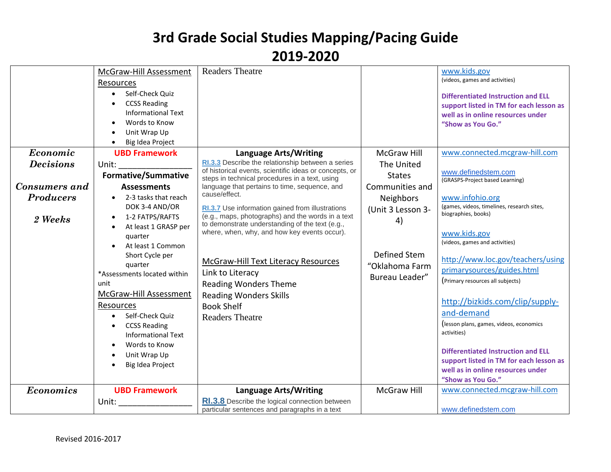| Economic                                     | McGraw-Hill Assessment<br><b>Resources</b><br>Self-Check Ouiz<br>$\bullet$<br><b>CCSS Reading</b><br>$\bullet$<br><b>Informational Text</b><br>Words to Know<br>Unit Wrap Up<br>Big Idea Project<br>$\bullet$<br><b>UBD Framework</b>                                                                                                                                                                                                                                                       | <b>Readers Theatre</b><br><b>Language Arts/Writing</b>                                                                                                                                                                                                                                                                                                                                                                                                                                                                                                            | <b>McGraw Hill</b>                                                                                                           | www.kids.gov<br>(videos, games and activities)<br><b>Differentiated Instruction and ELL</b><br>support listed in TM for each lesson as<br>well as in online resources under<br>"Show as You Go."<br>www.connected.mcgraw-hill.com                                                                                                                                                                                                                                                                                                               |
|----------------------------------------------|---------------------------------------------------------------------------------------------------------------------------------------------------------------------------------------------------------------------------------------------------------------------------------------------------------------------------------------------------------------------------------------------------------------------------------------------------------------------------------------------|-------------------------------------------------------------------------------------------------------------------------------------------------------------------------------------------------------------------------------------------------------------------------------------------------------------------------------------------------------------------------------------------------------------------------------------------------------------------------------------------------------------------------------------------------------------------|------------------------------------------------------------------------------------------------------------------------------|-------------------------------------------------------------------------------------------------------------------------------------------------------------------------------------------------------------------------------------------------------------------------------------------------------------------------------------------------------------------------------------------------------------------------------------------------------------------------------------------------------------------------------------------------|
| <b>Decisions</b>                             | Unit:                                                                                                                                                                                                                                                                                                                                                                                                                                                                                       | RI.3.3 Describe the relationship between a series                                                                                                                                                                                                                                                                                                                                                                                                                                                                                                                 | The United                                                                                                                   |                                                                                                                                                                                                                                                                                                                                                                                                                                                                                                                                                 |
| Consumers and<br><b>Producers</b><br>2 Weeks | <b>Formative/Summative</b><br><b>Assessments</b><br>2-3 tasks that reach<br>$\bullet$<br>DOK 3-4 AND/OR<br>1-2 FATPS/RAFTS<br>$\bullet$<br>At least 1 GRASP per<br>$\bullet$<br>quarter<br>At least 1 Common<br>Short Cycle per<br>quarter<br>*Assessments located within<br>unit<br>McGraw-Hill Assessment<br>Resources<br>Self-Check Quiz<br>$\bullet$<br><b>CCSS Reading</b><br>$\bullet$<br><b>Informational Text</b><br>Words to Know<br>Unit Wrap Up<br>Big Idea Project<br>$\bullet$ | of historical events, scientific ideas or concepts, or<br>steps in technical procedures in a text, using<br>language that pertains to time, sequence, and<br>cause/effect.<br>RI.3.7 Use information gained from illustrations<br>(e.g., maps, photographs) and the words in a text<br>to demonstrate understanding of the text (e.g.,<br>where, when, why, and how key events occur).<br>McGraw-Hill Text Literacy Resources<br>Link to Literacy<br><b>Reading Wonders Theme</b><br><b>Reading Wonders Skills</b><br><b>Book Shelf</b><br><b>Readers Theatre</b> | <b>States</b><br>Communities and<br>Neighbors<br>(Unit 3 Lesson 3-<br>4)<br>Defined Stem<br>"Oklahoma Farm<br>Bureau Leader" | www.definedstem.com<br>(GRASPS-Project based Learning)<br>www.infohio.org<br>(games, videos, timelines, research sites,<br>biographies, books)<br>www.kids.gov<br>(videos, games and activities)<br>http://www.loc.gov/teachers/using<br>primarysources/guides.html<br>(Primary resources all subjects)<br>http://bizkids.com/clip/supply-<br>and-demand<br>(lesson plans, games, videos, economics<br>activities)<br><b>Differentiated Instruction and ELL</b><br>support listed in TM for each lesson as<br>well as in online resources under |
|                                              |                                                                                                                                                                                                                                                                                                                                                                                                                                                                                             |                                                                                                                                                                                                                                                                                                                                                                                                                                                                                                                                                                   |                                                                                                                              | "Show as You Go."<br>www.connected.mcgraw-hill.com                                                                                                                                                                                                                                                                                                                                                                                                                                                                                              |
| <b>Economics</b>                             | <b>UBD Framework</b><br>Unit:                                                                                                                                                                                                                                                                                                                                                                                                                                                               | <b>Language Arts/Writing</b><br>RI.3.8 Describe the logical connection between<br>particular sentences and paragraphs in a text                                                                                                                                                                                                                                                                                                                                                                                                                                   | <b>McGraw Hill</b>                                                                                                           | www.definedstem.com                                                                                                                                                                                                                                                                                                                                                                                                                                                                                                                             |